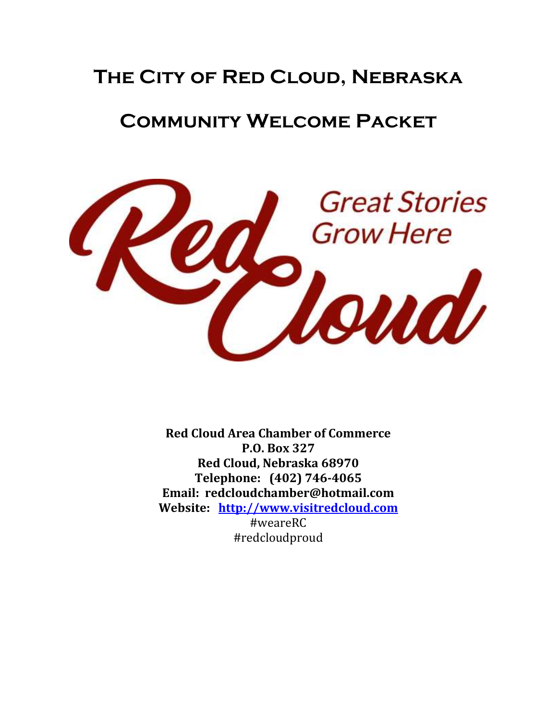# **The City of Red Cloud, Nebraska**

# **Community Welcome Packet**



**Red Cloud Area Chamber of Commerce P.O. Box 327 Red Cloud, Nebraska 68970 Telephone: (402) 746-4065 Email: redcloudchamber@hotmail.com Website: [http://www.visitredcloud.com](http://www.visitredcloud.com/)** #weareRC #redcloudproud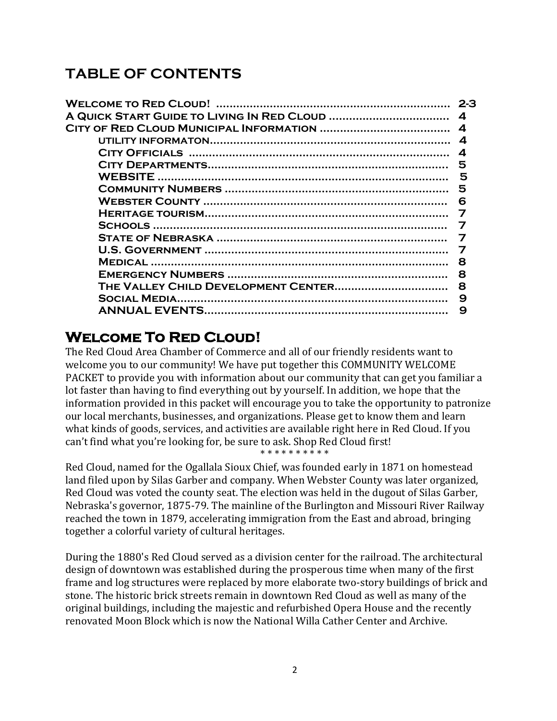# **TABLE OF CONTENTS**

| 2-3 |
|-----|
|     |
|     |
|     |
|     |
|     |
|     |
|     |
| 6   |
|     |
|     |
|     |
|     |
| я   |
| 8   |
| 8   |
| 9   |
| 9   |

## **Welcome To Red Cloud!**

The Red Cloud Area Chamber of Commerce and all of our friendly residents want to welcome you to our community! We have put together this COMMUNITY WELCOME PACKET to provide you with information about our community that can get you familiar a lot faster than having to find everything out by yourself. In addition, we hope that the information provided in this packet will encourage you to take the opportunity to patronize our local merchants, businesses, and organizations. Please get to know them and learn what kinds of goods, services, and activities are available right here in Red Cloud. If you can't find what you're looking for, be sure to ask. Shop Red Cloud first! \* \* \* \* \* \* \* \* \* \*

Red Cloud, named for the Ogallala Sioux Chief, was founded early in 1871 on homestead land filed upon by Silas Garber and company. When Webster County was later organized, Red Cloud was voted the county seat. The election was held in the dugout of Silas Garber, Nebraska's governor, 1875-79. The mainline of the Burlington and Missouri River Railway reached the town in 1879, accelerating immigration from the East and abroad, bringing together a colorful variety of cultural heritages.

During the 1880's Red Cloud served as a division center for the railroad. The architectural design of downtown was established during the prosperous time when many of the first frame and log structures were replaced by more elaborate two-story buildings of brick and stone. The historic brick streets remain in downtown Red Cloud as well as many of the original buildings, including the majestic and refurbished Opera House and the recently renovated Moon Block which is now the National Willa Cather Center and Archive.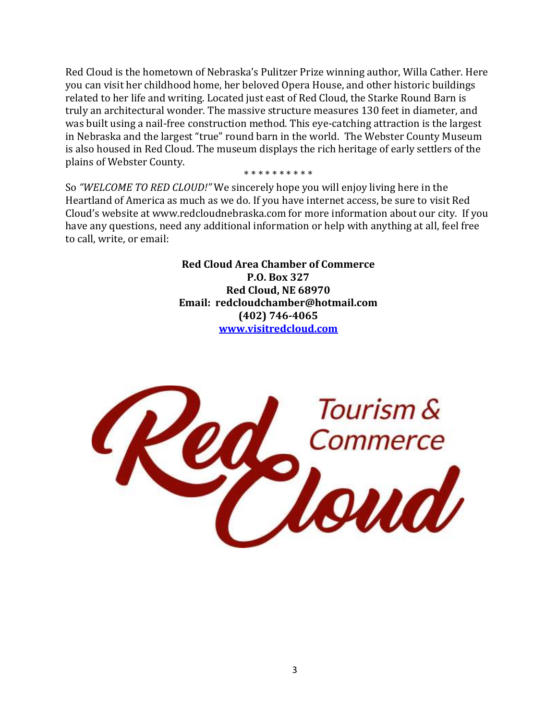Red Cloud is the hometown of Nebraska's Pulitzer Prize winning author, Willa Cather. Here you can visit her childhood home, her beloved Opera House, and other historic buildings related to her life and writing. Located just east of Red Cloud, the Starke Round Barn is truly an architectural wonder. The massive structure measures 130 feet in diameter, and was built using a nail-free construction method. This eye-catching attraction is the largest in Nebraska and the largest "true" round barn in the world. The Webster County Museum is also housed in Red Cloud. The museum displays the rich heritage of early settlers of the plains of Webster County.

#### \* \* \* \* \* \* \* \* \*

So *"WELCOME TO RED CLOUD!"* We sincerely hope you will enjoy living here in the Heartland of America as much as we do. If you have internet access, be sure to visit Red Cloud's website at www.redcloudnebraska.com for more information about our city. If you have any questions, need any additional information or help with anything at all, feel free to call, write, or email:

> **Red Cloud Area Chamber of Commerce P.O. Box 327 Red Cloud, NE 68970 Email: redcloudchamber@hotmail.com (402) 746-4065 [www.visitredcloud.com](http://www.visitredcloud.com/)**

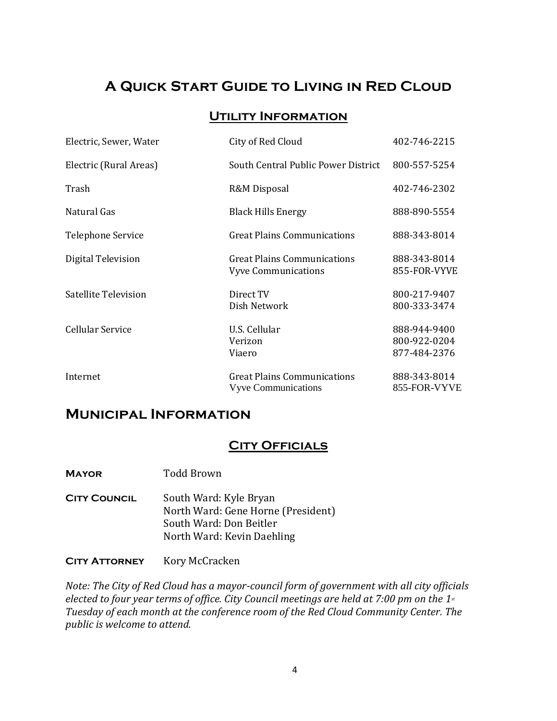## **A Quick Start Guide to Living in Red Cloud**

## **Utility Information**

| Electric, Sewer, Water | City of Red Cloud                                         | 402-746-2215                                 |
|------------------------|-----------------------------------------------------------|----------------------------------------------|
| Electric (Rural Areas) | South Central Public Power District                       | 800-557-5254                                 |
| Trash                  | R&M Disposal                                              | 402-746-2302                                 |
| Natural Gas            | <b>Black Hills Energy</b>                                 | 888-890-5554                                 |
| Telephone Service      | <b>Great Plains Communications</b>                        | 888-343-8014                                 |
| Digital Television     | Great Plains Communications<br><b>Vyve Communications</b> | 888-343-8014<br>855-FOR-VYVE                 |
| Satellite Television   | Direct TV<br>Dish Network                                 | 800-217-9407<br>800-333-3474                 |
| Cellular Service       | U.S. Cellular<br>Verizon<br>Viaero                        | 888-944-9400<br>800-922-0204<br>877-484-2376 |
| Internet               | Great Plains Communications<br><b>Vyve Communications</b> | 888-343-8014<br>855-FOR-VYVE                 |

## **Municipal Information**

## **CITY OFFICIALS**

**Mayor** Todd Brown

**CITY COUNCIL** South Ward: Kyle Bryan North Ward: Gene Horne (President) South Ward: Don Beitler North Ward: Kevin Daehling

**CITY ATTORNEY** Kory McCracken

*Note: The City of Red Cloud has a mayor-council form of government with all city officials elected to four year terms of office. City Council meetings are held at 7:00 pm on the 1st Tuesday of each month at the conference room of the Red Cloud Community Center. The public is welcome to attend.*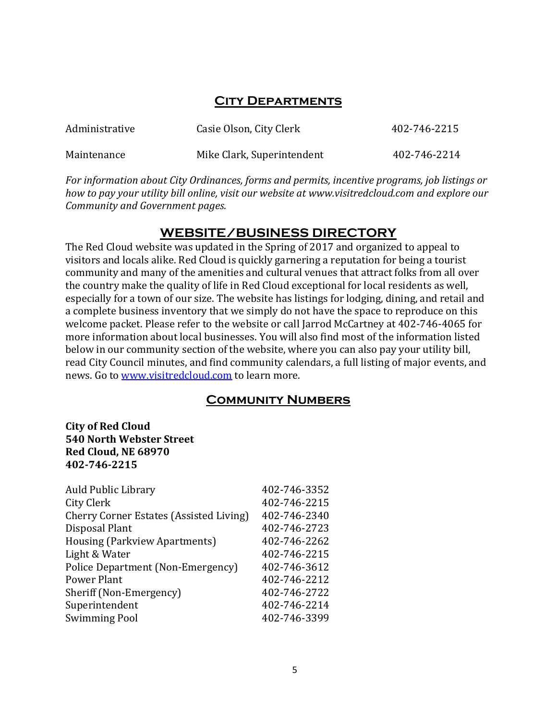## **City Departments**

| Administrative | Casie Olson, City Clerk    | 402-746-2215 |
|----------------|----------------------------|--------------|
| Maintenance    | Mike Clark, Superintendent | 402-746-2214 |

*For information about City Ordinances, forms and permits, incentive programs, job listings or how to pay your utility bill online, visit our website at www.visitredcloud.com and explore our Community and Government pages.* 

## **WEBSITE/BUSINESS DIRECTORY**

The Red Cloud website was updated in the Spring of 2017 and organized to appeal to visitors and locals alike. Red Cloud is quickly garnering a reputation for being a tourist community and many of the amenities and cultural venues that attract folks from all over the country make the quality of life in Red Cloud exceptional for local residents as well, especially for a town of our size. The website has listings for lodging, dining, and retail and a complete business inventory that we simply do not have the space to reproduce on this welcome packet. Please refer to the website or call Jarrod McCartney at 402-746-4065 for more information about local businesses. You will also find most of the information listed below in our community section of the website, where you can also pay your utility bill, read City Council minutes, and find community calendars, a full listing of major events, and news. Go to [www.visitredcloud.com](http://www.visitredcloud.com/) to learn more.

## **Community Numbers**

### **City of Red Cloud 540 North Webster Street Red Cloud, NE 68970 402-746-2215**

| <b>Auld Public Library</b>                     | 402-746-3352 |
|------------------------------------------------|--------------|
| City Clerk                                     | 402-746-2215 |
| <b>Cherry Corner Estates (Assisted Living)</b> | 402-746-2340 |
| Disposal Plant                                 | 402-746-2723 |
| Housing (Parkview Apartments)                  | 402-746-2262 |
| Light & Water                                  | 402-746-2215 |
| Police Department (Non-Emergency)              | 402-746-3612 |
| <b>Power Plant</b>                             | 402-746-2212 |
| Sheriff (Non-Emergency)                        | 402-746-2722 |
| Superintendent                                 | 402-746-2214 |
| <b>Swimming Pool</b>                           | 402-746-3399 |
|                                                |              |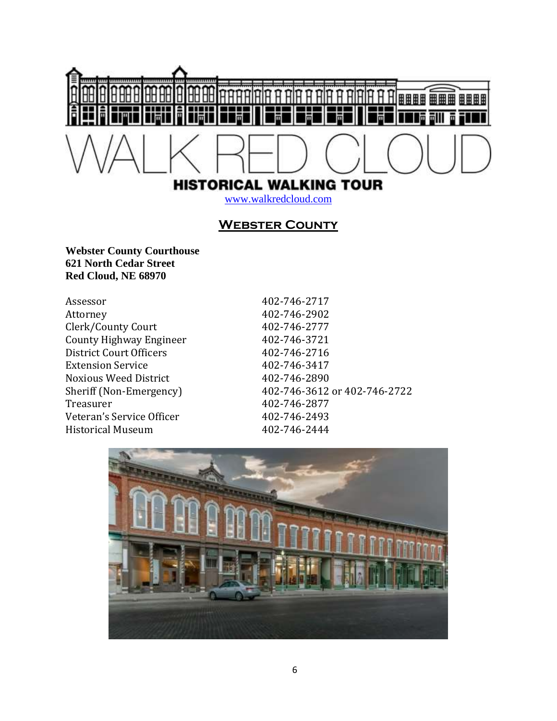

## **Webster County**

**Webster County Courthouse 621 North Cedar Street Red Cloud, NE 68970**

| Assessor                       |
|--------------------------------|
| Attorney                       |
| Clerk/County Court             |
| <b>County Highway Engineer</b> |
| District Court Officers        |
| <b>Extension Service</b>       |
| <b>Noxious Weed District</b>   |
| Sheriff (Non-Emergency)        |
| Treasurer                      |
| Veteran's Service Officer      |
| <b>Historical Museum</b>       |

Assessor 402-746-2717 Attorney 402-746-2902 Clerk/County Court 402-746-2777 County Highway Engineer 402-746-3721 District Court Officers 402-746-2716 Extension Service 402-746-3417 Noxious Weed District 402-746-2890 Sheriff (Non-Emergency) 402-746-3612 or 402-746-2722 Treasurer 402-746-2877 Veteran's Service Officer 402-746-2493 Historical Museum 402-746-2444

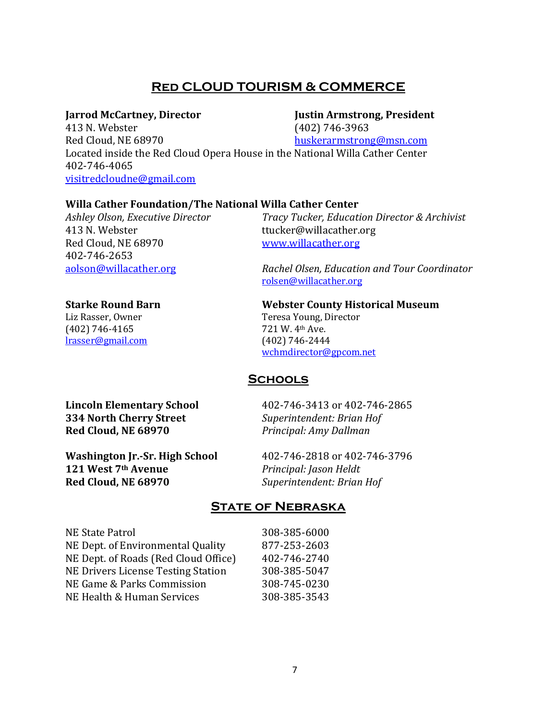## **Red CLOUD TOURISM & COMMERCE**

#### **Jarrod McCartney, Director Justin Armstrong, President**

413 N. Webster (402) 746-3963 Red Cloud, NE 68970 [huskerarmstrong@msn.com](file://///fs2017/Folder%20Redirection/jmccartney/Documents/Commerce%20&%20Tourism/huskerarmstrong@msn.com) Located inside the Red Cloud Opera House in the National Willa Cather Center 402-746-4065 [visitredcloudne@gmail.com](mailto:visitredcloudne@gmail.com)

#### **Willa Cather Foundation/The National Willa Cather Center**

413 N. Webster ttucker@willacather.org Red Cloud, NE 68970 [www.willacather.org](http://www.willacather.org/) 402-746-2653

(402) 746-4165 721 W. 4th Ave. [lrasser@gmail.com](mailto:lrasser@gmail.com) (402) 746-2444

*Ashley Olson, Executive Director Tracy Tucker, Education Director & Archivist*

[aolson@willacather.org](mailto:aolson@willacather.org) *Rachel Olsen, Education and Tour Coordinator*  [rolsen@willacather.org](file://///fs2017/Folder%20Redirection/jmccartney/Documents/Commerce%20&%20Tourism/rolsen@willacather.org)

## **Starke Round Barn Webster County Historical Museum**

Liz Rasser, Owner Teresa Young, Director [wchmdirector@gpcom.net](mailto:wchmdirector@gpcom.net)

## **Schools**

**334 North Cherry Street** *Superintendent: Brian Hof* **Red Cloud, NE 68970** *Principal: Amy Dallman*

**Lincoln Elementary School** 402-746-3413 or 402-746-2865

**Washington Jr.-Sr. High School** 402-746-2818 or 402-746-3796 **121 West 7th Avenue** *Principal: Jason Heldt* **Red Cloud, NE 68970** *Superintendent: Brian Hof*

## **State of Nebraska**

| NE State Patrol                           |  |
|-------------------------------------------|--|
| NE Dept. of Environmental Quality         |  |
| NE Dept. of Roads (Red Cloud Office)      |  |
| <b>NE Drivers License Testing Station</b> |  |
| NE Game & Parks Commission                |  |
| NE Health & Human Services                |  |
|                                           |  |

308-385-6000 877-253-2603 402-746-2740 308-385-5047 308-745-0230 308-385-3543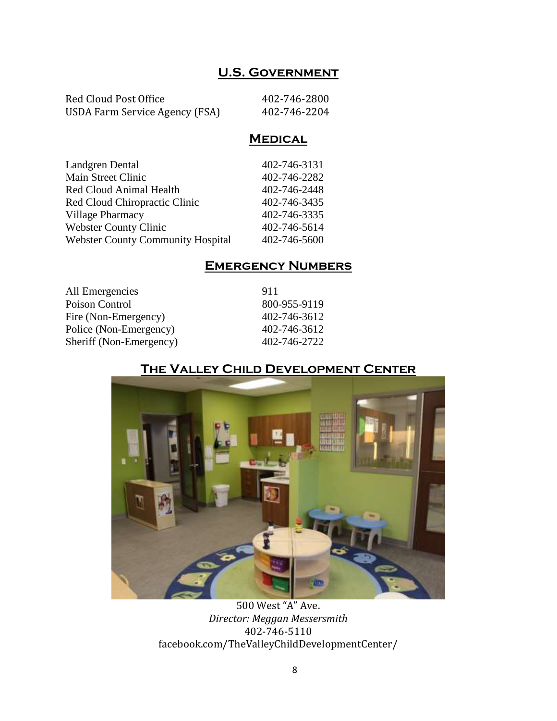## **U.S. Government**

| Red Cloud Post Office          | 402-746-2800 |
|--------------------------------|--------------|
| USDA Farm Service Agency (FSA) | 402-746-2204 |

## **Medical**

| Landgren Dental                          | 402-746-3131 |
|------------------------------------------|--------------|
| <b>Main Street Clinic</b>                | 402-746-2282 |
| <b>Red Cloud Animal Health</b>           | 402-746-2448 |
| Red Cloud Chiropractic Clinic            | 402-746-3435 |
| Village Pharmacy                         | 402-746-3335 |
| <b>Webster County Clinic</b>             | 402-746-5614 |
| <b>Webster County Community Hospital</b> | 402-746-5600 |
|                                          |              |

## **Emergency Numbers**

| All Emergencies         | 911          |
|-------------------------|--------------|
| Poison Control          | 800-955-9119 |
| Fire (Non-Emergency)    | 402-746-3612 |
| Police (Non-Emergency)  | 402-746-3612 |
| Sheriff (Non-Emergency) | 402-746-2722 |
|                         |              |

## **The Valley Child Development Center**



500 West "A" Ave. *Director: Meggan Messersmith* 402-746-5110 facebook.com/TheValleyChildDevelopmentCenter/